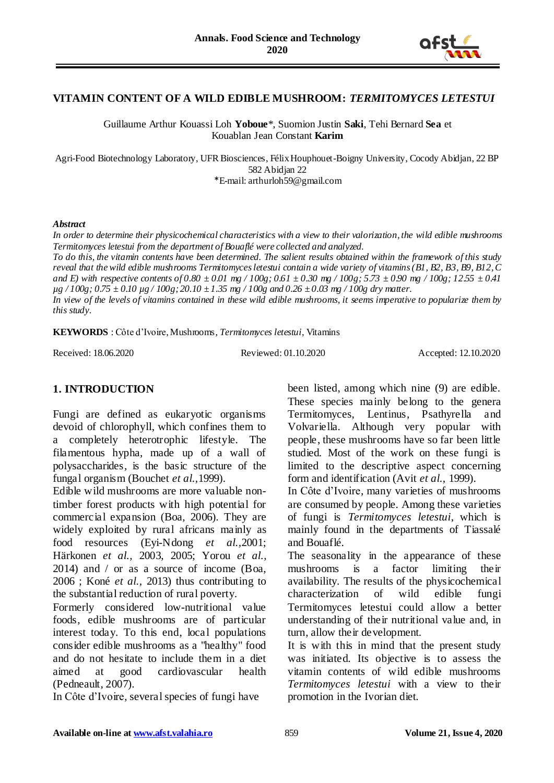

# **VITAMIN CONTENT OF A WILD EDIBLE MUSHROOM:** *TERMITOMYCES LETESTUI*

Guillaume Arthur Kouassi Loh **Yoboue**\*, Suomion Justin **Saki**, Tehi Bernard **Sea** et Kouablan Jean Constant **Karim**

Agri-Food Biotechnology Laboratory, UFR Biosciences, Félix Houphouet-Boigny University, Cocody Abidjan, 22 BP 582 Abidjan 22 \*E-mail: arthurloh59@gmail.com

#### *Abstract*

*In order to determine their physicochemical characteristics with a view to their valorization, the wild edible mushrooms Termitomyces letestui from the department of Bouaflé were collected and analyzed.*

*To do this, the vitamin contents have been determined. The salient results obtained within the framework of this study reveal that the wild edible mushrooms Termitomyces letestui contain a wide variety of vitamins (B1, B2, B3, B9, B12, C and E) with respective contents of 0.80 ± 0.01 mg / 100g; 0.61 ± 0.30 mg / 100g; 5.73 ± 0.90 mg / 100g; 12.55 ± 0.41 µg / 100g; 0.75 ± 0.10 µg / 100g; 20.10 ± 1.35 mg / 100g and 0.26 ± 0.03 mg / 100g dry matter.*

*In view of the levels of vitamins contained in these wild edible mushrooms, it seems imperative to popularize them by this study.*

**KEYWORDS** : Côte d'Ivoire, Mushrooms, *Termitomyces letestui*, Vitamins

Received: 18.06.2020 Reviewed: 01.10.2020 Accepted: 12.10.2020

# **1. INTRODUCTION**

Fungi are defined as eukaryotic organisms devoid of chlorophyll, which confines them to a completely heterotrophic lifestyle. The filamentous hypha, made up of a wall of polysaccharides, is the basic structure of the fungal organism (Bouchet *et al.,*1999).

Edible wild mushrooms are more valuable nontimber forest products with high potential for commercial expansion (Boa, 2006). They are widely exploited by rural africans mainly as food resources (Eyi-Ndong *et al.,*2001; Härkonen *et al.,* 2003, 2005; Yorou *et al.,* 2014) and / or as a source of income (Boa, 2006 ; Koné *et al.,* 2013) thus contributing to the substantial reduction of rural poverty.

Formerly considered low-nutritional value foods, edible mushrooms are of particular interest today. To this end, local populations consider edible mushrooms as a "healthy" food and do not hesitate to include them in a diet aimed at good cardiovascular health (Pedneault, 2007).

In Côte d'Ivoire, several species of fungi have

been listed, among which nine (9) are edible. These species mainly belong to the genera Termitomyces, Lentinus, Psathyrella and Volvariella. Although very popular with people, these mushrooms have so far been little studied. Most of the work on these fungi is limited to the descriptive aspect concerning form and identification (Avit *et al.,* 1999).

In Côte d'Ivoire, many varieties of mushrooms are consumed by people. Among these varieties of fungi is *Termitomyces letestui*, which is mainly found in the departments of Tiassalé and Bouaflé.

The seasonality in the appearance of these mushrooms is a factor limiting their availability. The results of the physicochemical characterization of wild edible fungi Termitomyces letestui could allow a better understanding of their nutritional value and, in turn, allow their development.

It is with this in mind that the present study was initiated. Its objective is to assess the vitamin contents of wild edible mushrooms *Termitomyces letestui* with a view to their promotion in the Ivorian diet.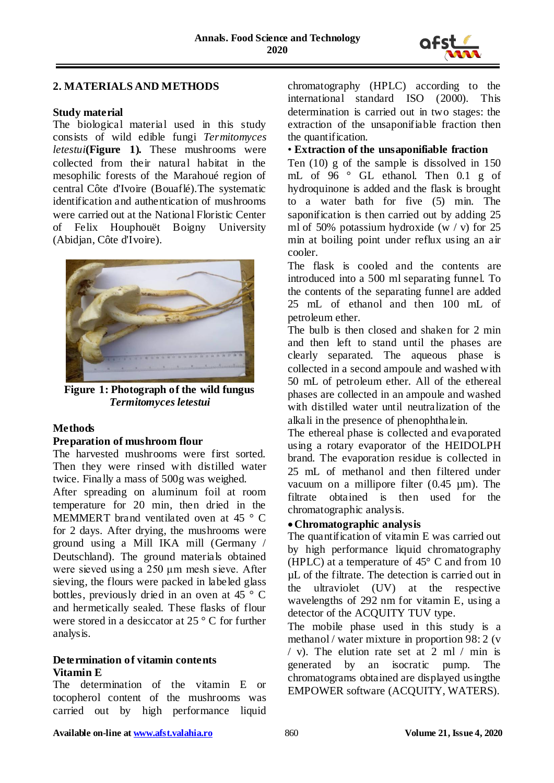

### **2. MATERIALS AND METHODS**

#### **Study material**

The biological material used in this study consists of wild edible fungi *Termitomyces letestui***(Figure 1).** These mushrooms were collected from their natural habitat in the mesophilic forests of the Marahoué region of central Côte d'Ivoire (Bouaflé).The systematic identification and authentication of mushrooms were carried out at the National Floristic Center of Felix Houphouët Boigny University (Abidjan, Côte d'Ivoire).



**Figure 1: Photograph of the wild fungus**  *Termitomyces letestui*

### **Methods**

#### **Preparation of mushroom flour**

The harvested mushrooms were first sorted. Then they were rinsed with distilled water twice. Finally a mass of 500g was weighed.

After spreading on aluminum foil at room temperature for 20 min, then dried in the MEMMERT brand ventilated oven at 45 ° C for 2 days. After drying, the mushrooms were ground using a Mill IKA mill (Germany / Deutschland). The ground materials obtained were sieved using a 250 μm mesh sieve. After sieving, the flours were packed in labeled glass bottles, previously dried in an oven at 45 ° C and hermetically sealed. These flasks of flour were stored in a desiccator at 25 ° C for further analysis.

#### **Determination of vitamin contents Vitamin E**

The determination of the vitamin E or tocopherol content of the mushrooms was carried out by high performance liquid

chromatography (HPLC) according to the international standard ISO (2000). This determination is carried out in two stages: the extraction of the unsaponifiable fraction then the quantification.

#### • **Extraction of the unsaponifiable fraction**

Ten (10) g of the sample is dissolved in 150 mL of 96 ° GL ethanol. Then 0.1 g of hydroquinone is added and the flask is brought to a water bath for five (5) min. The saponification is then carried out by adding 25 ml of 50% potassium hydroxide  $(w / v)$  for 25 min at boiling point under reflux using an air cooler.

The flask is cooled and the contents are introduced into a 500 ml separating funnel. To the contents of the separating funnel are added 25 mL of ethanol and then 100 mL of petroleum ether.

The bulb is then closed and shaken for 2 min and then left to stand until the phases are clearly separated. The aqueous phase is collected in a second ampoule and washed with 50 mL of petroleum ether. All of the ethereal phases are collected in an ampoule and washed with distilled water until neutralization of the alkali in the presence of phenophthalein.

The ethereal phase is collected and evaporated using a rotary evaporator of the HEIDOLPH brand. The evaporation residue is collected in 25 mL of methanol and then filtered under vacuum on a millipore filter  $(0.45 \mu m)$ . The filtrate obtained is then used for the chromatographic analysis.

### **Chromatographic analysis**

The quantification of vitamin E was carried out by high performance liquid chromatography (HPLC) at a temperature of 45° C and from 10 µL of the filtrate. The detection is carried out in the ultraviolet (UV) at the respective wavelengths of 292 nm for vitamin E, using a detector of the ACQUITY TUV type.

The mobile phase used in this study is a methanol / water mixture in proportion 98: 2 (v / v). The elution rate set at 2 ml / min is generated by an isocratic pump. The chromatograms obtained are displayed usingthe EMPOWER software (ACQUITY, WATERS).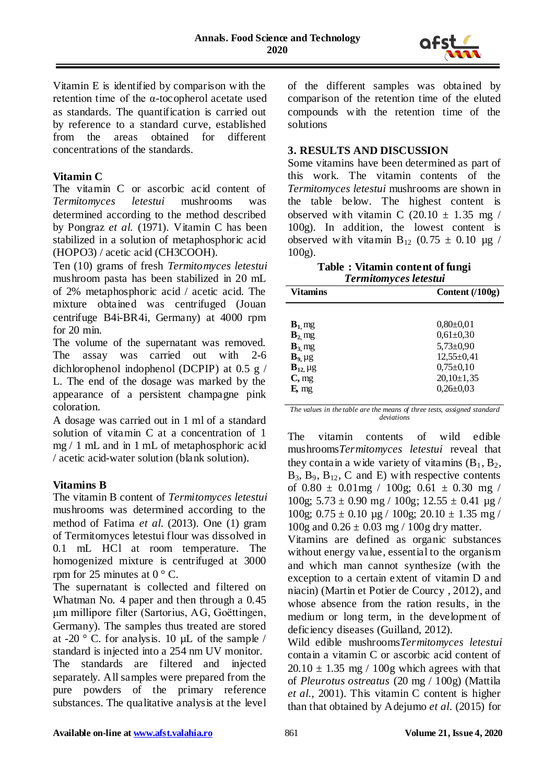

Vitamin E is identified by comparison with the retention time of the α-tocopherol acetate used as standards. The quantification is carried out by reference to a standard curve, established from the areas obtained for different concentrations of the standards.

# **Vitamin C**

The vitamin C or ascorbic acid content of *Termitomyces letestui* mushrooms was determined according to the method described by Pongraz *et al.* (1971). Vitamin C has been stabilized in a solution of metaphosphoric acid (HOPO3) / acetic acid (CH3COOH).

Ten (10) grams of fresh *Termitomyces letestui* mushroom pasta has been stabilized in 20 mL of 2% metaphosphoric acid / acetic acid. The mixture obtained was centrifuged (Jouan centrifuge B4i-BR4i, Germany) at 4000 rpm for 20 min.

The volume of the supernatant was removed. The assay was carried out with 2-6 dichlorophenol indophenol (DCPIP) at 0.5 g / L. The end of the dosage was marked by the appearance of a persistent champagne pink coloration.

A dosage was carried out in 1 ml of a standard solution of vitamin C at a concentration of 1 mg / 1 mL and in 1 mL of metaphosphoric acid / acetic acid-water solution (blank solution).

### **Vitamins B**

The vitamin B content of *Termitomyces letestui* mushrooms was determined according to the method of Fatima *et al.* (2013). One (1) gram of Termitomyces letestui flour was dissolved in 0.1 mL HCl at room temperature. The homogenized mixture is centrifuged at 3000 rpm for 25 minutes at  $0^{\circ}$  C.

The supernatant is collected and filtered on Whatman No. 4 paper and then through a 0.45 μm millipore filter (Sartorius, AG, Goëttingen, Germany). The samples thus treated are stored at -20  $\degree$  C. for analysis. 10 µL of the sample / standard is injected into a 254 nm UV monitor. The standards are filtered and injected separately. All samples were prepared from the pure powders of the primary reference substances. The qualitative analysis at the level

of the different samples was obtained by comparison of the retention time of the eluted compounds with the retention time of the solutions

### **3. RESULTS AND DISCUSSION**

Some vitamins have been determined as part of this work. The vitamin contents of the *Termitomyces letestui* mushrooms are shown in the table below. The highest content is observed with vitamin C  $(20.10 \pm 1.35 \text{ mg})$ 100g). In addition, the lowest content is observed with vitamin  $B_{12}$  (0.75  $\pm$  0.10 µg / 100g).

| Table: Vitamin content of fungi |
|---------------------------------|
| Termitomyces letestui           |

| Vitamins      | Content (/100g)  |
|---------------|------------------|
|               |                  |
| $B_1$ mg      | $0.80 \pm 0.01$  |
| $B_2$ mg      | $0.61 \pm 0.30$  |
| $B_3$ mg      | $5,73\pm0,90$    |
| $B_9$ µg      | $12,55\pm0,41$   |
| $B_{12}$ , µg | $0,75 \pm 0,10$  |
| $C$ , mg      | $20,10 \pm 1,35$ |
| E, mg         | $0,26 \pm 0.03$  |

*The values in the table are the means of three tests, assigned standard deviations*

The vitamin contents of wild edible mushrooms*Termitomyces letestui* reveal that they contain a wide variety of vitamins  $(B_1, B_2,$  $B_3$ ,  $B_9$ ,  $B_{12}$ , C and E) with respective contents of  $0.80 \pm 0.01$  mg /  $100$  g;  $0.61 \pm 0.30$  mg / 100g;  $5.73 \pm 0.90$  mg / 100g;  $12.55 \pm 0.41$  µg / 100g;  $0.75 \pm 0.10$  ug / 100g;  $20.10 \pm 1.35$  mg / 100g and  $0.26 \pm 0.03$  mg / 100g dry matter.

Vitamins are defined as organic substances without energy value, essential to the organism and which man cannot synthesize (with the exception to a certain extent of vitamin D and niacin) (Martin et Potier de Courcy , 2012), and whose absence from the ration results, in the medium or long term, in the development of deficiency diseases (Guilland, 2012).

Wild edible mushrooms*Termitomyces letestui*  contain a vitamin C or ascorbic acid content of  $20.10 \pm 1.35$  mg / 100g which agrees with that of *Pleurotus ostreatus* (20 mg / 100g) (Mattila *et al.,* 2001). This vitamin C content is higher than that obtained by Adejumo *et al*. (2015) for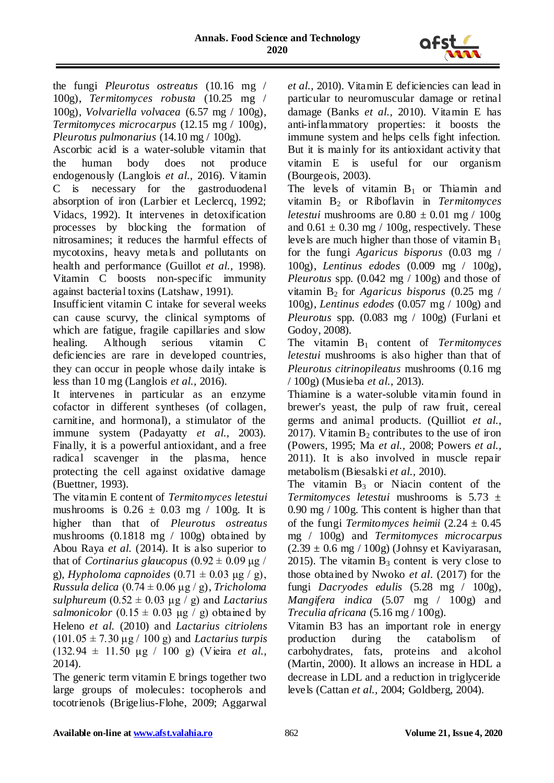

the fungi *Pleurotus ostreatus* (10.16 mg / 100g), *Termitomyces robusta* (10.25 mg / 100g), *Volvariella volvacea* (6.57 mg / 100g), *Termitomyces microcarpus* (12.15 mg / 100g), *Pleurotus pulmonarius* (14.10 mg / 100g).

Ascorbic acid is a water-soluble vitamin that the human body does not produce endogenously (Langlois *et al.,* 2016). Vitamin C is necessary for the gastroduodenal absorption of iron (Larbier et Leclercq, 1992; Vidacs, 1992). It intervenes in detoxification processes by blocking the formation of nitrosamines; it reduces the harmful effects of mycotoxins, heavy metals and pollutants on health and performance (Guillot *et al.,* 1998). Vitamin C boosts non-specific immunity against bacterial toxins (Latshaw, 1991).

Insufficient vitamin C intake for several weeks can cause scurvy, the clinical symptoms of which are fatigue, fragile capillaries and slow healing. Although serious vitamin C deficiencies are rare in developed countries, they can occur in people whose daily intake is less than 10 mg (Langlois *et al.,* 2016).

It intervenes in particular as an enzyme cofactor in different syntheses (of collagen, carnitine, and hormonal), a stimulator of the immune system (Padayatty *et al.,* 2003). Finally, it is a powerful antioxidant, and a free radical scavenger in the plasma, hence protecting the cell against oxidative damage (Buettner, 1993).

The vitamin E content of *Termitomyces letestui* mushrooms is  $0.26 \pm 0.03$  mg / 100g. It is higher than that of *Pleurotus ostreatus* mushrooms (0.1818 mg / 100g) obtained by Abou Raya *et al.* (2014). It is also superior to that of *Cortinarius glaucopus*  $(0.92 \pm 0.09 \,\text{µg}$  / g), *Hypholoma capnoides*  $(0.71 \pm 0.03 \text{ µg} / \text{g})$ , *Russula delica* (0.74 ± 0.06 μg / g), *Tricholoma sulphureum*  $(0.52 \pm 0.03 \mu g / g)$  and *Lactarius salmonicolor*  $(0.15 \pm 0.03 \mu g / g)$  obtained by Heleno *et al.* (2010) and *Lactarius citriolens* (101.05 ± 7.30 μg / 100 g) and *Lactarius turpis* (132.94 ± 11.50 μg / 100 g) (Vieira *et al.,* 2014).

The generic term vitamin E brings together two large groups of molecules: tocopherols and tocotrienols (Brigelius-Flohe, 2009; Aggarwal

*et al.,* 2010). Vitamin E deficiencies can lead in particular to neuromuscular damage or retinal damage (Banks *et al.,* 2010). Vitamin E has anti-inflammatory properties: it boosts the immune system and helps cells fight infection. But it is mainly for its antioxidant activity that vitamin E is useful for our organism (Bourgeois, 2003).

The levels of vitamin  $B_1$  or Thiamin and vitamin B<sup>2</sup> or Riboflavin in *Termitomyces letestui* mushrooms are  $0.80 \pm 0.01$  mg /  $100g$ and  $0.61 \pm 0.30$  mg / 100g, respectively. These levels are much higher than those of vitamin  $B_1$ for the fungi *Agaricus bisporus* (0.03 mg / 100g), *Lentinus edodes* (0.009 mg / 100g), *Pleurotus* spp.  $(0.042 \text{ mg} / 100 \text{g})$  and those of vitamin  $B_2$  for *Agaricus bisporus* (0.25 mg / 100g), *Lentinus edodes* (0.057 mg / 100g) and *Pleurotus* spp. (0.083 mg / 100g) (Furlani et Godoy, 2008).

The vitamin B<sup>1</sup> content of *Termitomyces letestui* mushrooms is also higher than that of *Pleurotus citrinopileatus* mushrooms (0.16 mg / 100g) (Musieba *et al.,* 2013).

Thiamine is a water-soluble vitamin found in brewer's yeast, the pulp of raw fruit, cereal germs and animal products. (Quilliot *et al.,* 2017). Vitamin  $B_2$  contributes to the use of iron (Powers, 1995; Ma *et al.,* 2008; Powers *et al.,* 2011). It is also involved in muscle repair metabolism (Biesalski *et al.,* 2010).

The vitamin  $B_3$  or Niacin content of the *Termitomyces letestui* mushrooms is 5.73 ± 0.90 mg / 100g. This content is higher than that of the fungi *Termitomyces heimii*  $(2.24 \pm 0.45)$ mg / 100g) and *Termitomyces microcarpus*  $(2.39 \pm 0.6 \text{ mg} / 100 \text{g})$  (Johnsy et Kaviyarasan, 2015). The vitamin  $B_3$  content is very close to those obtained by Nwoko *et al*. (2017) for the fungi *Dacryodes edulis* (5.28 mg / 100g), *Mangifera indica* (5.07 mg / 100g) and *Treculia africana* (5.16 mg / 100g).

Vitamin B3 has an important role in energy production during the catabolism of carbohydrates, fats, proteins and alcohol (Martin, 2000). It allows an increase in HDL a decrease in LDL and a reduction in triglyceride levels (Cattan *et al.,* 2004; Goldberg, 2004).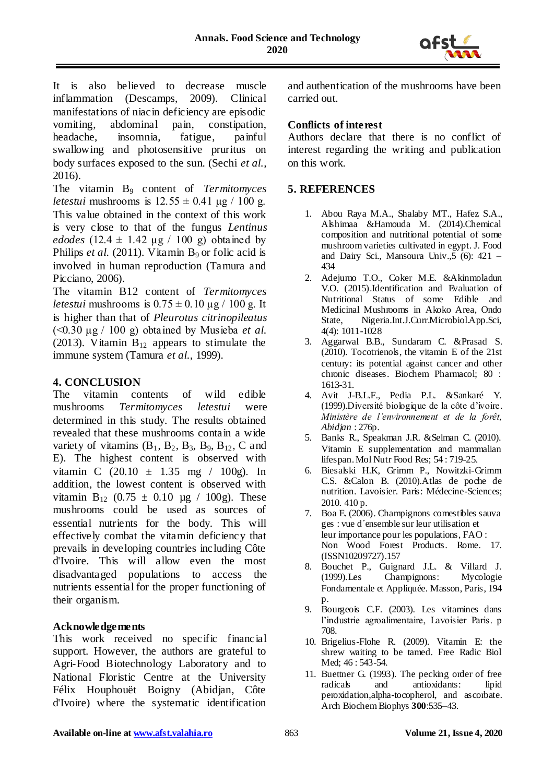

It is also believed to decrease muscle inflammation (Descamps, 2009). Clinical manifestations of niacin deficiency are episodic vomiting, abdominal pain, constipation, headache, insomnia, fatigue, painful swallowing and photosensitive pruritus on body surfaces exposed to the sun. (Sechi *et al.,* 2016).

The vitamin B<sup>9</sup> content of *Termitomyces letestui* mushrooms is  $12.55 \pm 0.41$  μg / 100 g. This value obtained in the context of this work is very close to that of the fungus *Lentinus edodes*  $(12.4 \pm 1.42 \mu g / 100 g)$  obtained by Philips *et al.* (2011). Vitamin  $B_9$  or folic acid is involved in human reproduction (Tamura and Picciano, 2006).

The vitamin B12 content of *Termitomyces letestui* mushrooms is  $0.75 \pm 0.10 \mu g / 100 g$ . It is higher than that of *Pleurotus citrinopileatus* (<0.30 μg / 100 g) obtained by Musieba *et al.* (2013). Vitamin  $B_{12}$  appears to stimulate the immune system (Tamura *et al.,* 1999).

# **4. CONCLUSION**

The vitamin contents of wild edible mushrooms *Termitomyces letestui* were determined in this study. The results obtained revealed that these mushrooms contain a wide variety of vitamins  $(B_1, B_2, B_3, B_9, B_{12}, C$  and E). The highest content is observed with vitamin C  $(20.10 \pm 1.35 \text{ mg} / 100 \text{g})$ . In addition, the lowest content is observed with vitamin B<sub>12</sub> (0.75  $\pm$  0.10 µg / 100g). These mushrooms could be used as sources of essential nutrients for the body. This will effectively combat the vitamin deficiency that prevails in developing countries including Côte d'Ivoire. This will allow even the most disadvantaged populations to access the nutrients essential for the proper functioning of their organism.

### **Acknowledgements**

This work received no specific financial support. However, the authors are grateful to Agri-Food Biotechnology Laboratory and to National Floristic Centre at the University Félix Houphouët Boigny (Abidjan, Côte d'Ivoire) where the systematic identification

and authentication of the mushrooms have been carried out.

### **Conflicts of interest**

Authors declare that there is no conflict of interest regarding the writing and publication on this work.

# **5. REFERENCES**

- 1. Abou Raya M.A., Shalaby MT., Hafez S.A., Alshimaa &Hamouda M. (2014).Chemical composition and nutritional potential of some mushroom varieties cultivated in egypt. J. Food and Dairy Sci., Mansoura Univ.,  $\bar{5}$  (6): 421 – 434
- 2. Adejumo T.O., Coker M.E. &Akinmoladun V.O. (2015).Identification and Evaluation of Nutritional Status of some Edible and Medicinal Mushrooms in Akoko Area, Ondo State, Nigeria.Int.J.Curr.Microbiol.App.Sci, 4(4): 1011-1028
- 3. Aggarwal B.B., Sundaram C. &Prasad S. (2010). Tocotrienols, the vitamin E of the 21st century: its potential against cancer and other chronic diseases. Biochem Pharmacol; 80 : 1613-31.
- 4. Avit J-B.L.F., Pedia P.L. &Sankaré Y. (1999).Diversité biologique de la côte d'ivoire. *Ministère de l'environnement et de la forêt, Abidjan* : 276p.
- 5. Banks R., Speakman J.R. &Selman C. (2010). Vitamin E supplementation and mammalian lifespan. Mol Nutr Food Res; 54 : 719-25.
- 6. Biesalski H.K, Grimm P., Nowitzki-Grimm C.S. &Calon B. (2010).Atlas de poche de nutrition. Lavoisier. Paris: Médecine-Sciences; 2010. 410 p.
- 7. Boa E. (2006). Champignons comestibles sauva ges : vue d´ensemble sur leur utilisation et leur importance pour les populations, FAO : Non Wood Forest Products. Rome. 17. (ISSN10209727).157
- 8. Bouchet P., Guignard J.L. & Villard J. (1999).Les Champignons: Mycologie Fondamentale et Appliquée*.* Masson, Paris, 194 p.
- 9. Bourgeois C.F. (2003). Les vitamines dans l'industrie agroalimentaire, Lavoisier Paris. p 708.
- 10. Brigelius-Flohe R. (2009). Vitamin E: the shrew waiting to be tamed. Free Radic Biol Med; 46 : 543-54.
- 11. Buettner G. (1993). The pecking order of free radicals and antioxidants: lipid peroxidation,alpha-tocopherol, and ascorbate. Arch Biochem Biophys **300**:535–43.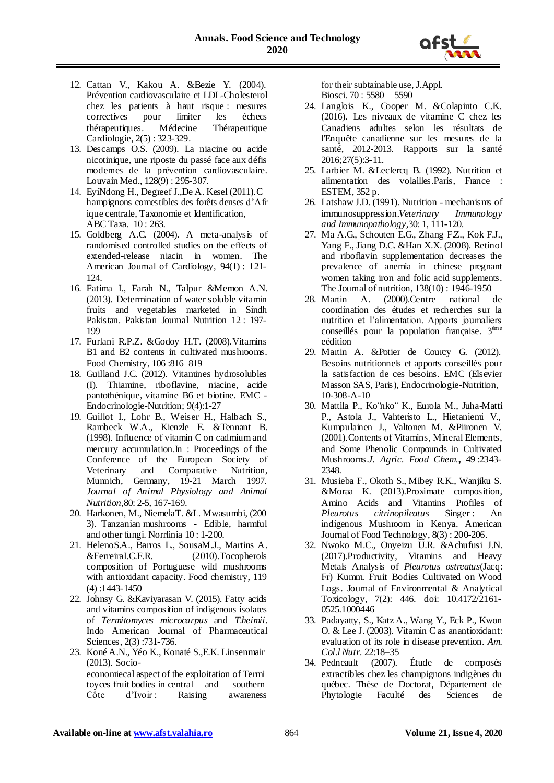

- 12. Cattan V., Kakou A. &Bezie Y. (2004). Prévention cardiovasculaire et LDL-Cholesterol chez les patients à haut risque : mesures correctives pour limiter les échecs thérapeutiques. Médecine Thérapeutique Cardiologie, 2(5) : 323-329.
- 13. Descamps O.S. (2009). La niacine ou acide nicotinique, une riposte du passé face aux défis modernes de la prévention cardiovasculaire. Louvain Med., 128(9) : 295-307.
- 14. EyiNdong H., Degreef J.,De A. Kesel (2011).C hampignons comestibles des forêts denses d'Afr ique centrale, Taxonomie et Identification, ABC Taxa. 10 : 263.
- 15. Goldberg A.C. (2004). A meta-analysis of randomised controlled studies on the effects of extended-release niacin in women. The American Journal of Cardiology, 94(1) : 121- 124.
- 16. Fatima I., Farah N., Talpur &Memon A.N. (2013). Determination of water soluble vitamin fruits and vegetables marketed in Sindh Pakistan. Pakistan Journal Nutrition 12 : 197- 199
- 17. Furlani R.P.Z. &Godoy H.T. (2008).Vitamins B1 and B2 contents in cultivated mushrooms. Food Chemistry, 106 :816–819
- 18. Guilland J.C. (2012). Vitamines hydrosolubles (I). Thiamine, riboflavine, niacine, acide pantothénique, vitamine B6 et biotine. EMC - Endocrinologie-Nutrition; 9(4):1-27
- 19. Guillot I., Lohr B., Weiser H., Halbach S., Rambeck W.A., Kienzle E. &Tennant B. (1998). Influence of vitamin C on cadmium and mercury accumulation.In : Proceedings of the Conference of the European Society of Veterinary and Comparative Nutrition, Munnich, Germany, 19-21 March 1997. *Journal of Animal Physiology and Animal Nutrition,*80: 2-5, 167-169.
- 20. Harkonen, M., NiemelaT. &L. Mwasumbi, (200 3). Tanzanian mushrooms - Edible, harmful and other fungi. Norrlinia 10 : 1-200.
- 21. HelenoS.A., Barros L., SousaM.J., Martins A. &FerreiraI.C.F.R. (2010).Tocopherols composition of Portuguese wild mushrooms with antioxidant capacity. Food chemistry, 119 (4) :1443-1450
- 22. Johnsy G. &Kaviyarasan V. (2015). Fatty acids and vitamins composition of indigenous isolates of *Termitomyces microcarpus* and *T.heimii*. Indo American Journal of Pharmaceutical Sciences, 2(3) :731-736.
- 23. Koné A.N., Yéo K., Konaté S.,E.K. Linsenmair (2013). Socioeconomiecal aspect of the exploitation of Termi toyces fruit bodies in central and southern Côte d'Ivoir : Raising awareness

for their subtainable use, J.Appl. Biosci. 70 : 5580 – 5590

- 24. Langlois K., Cooper M. &Colapinto C.K. (2016). Les niveaux de vitamine C chez les Canadiens adultes selon les résultats de l'Enquête canadienne sur les mesures de la santé, 2012-2013. Rapports sur la santé 2016;27(5):3-11.
- 25. Larbier M. &Leclercq B. (1992). Nutrition et alimentation des volailles.Paris, France : ESTEM, 352 p.
- 26. Latshaw J.D. (1991). Nutrition mechanisms of immunosuppression.*Veterinary Immunology and Immunopathology,*30: 1, 111-120.
- 27. Ma A.G., Schouten E.G., Zhang F.Z., Kok F.J., Yang F., Jiang D.C. &Han X.X. (2008). Retinol and riboflavin supplementation decreases the prevalence of anemia in chinese pregnant women taking iron and folic acid supplements. The Journal of nutrition, 138(10) : 1946-1950
- 28. Martin A. (2000).Centre national de coordination des études et recherches sur la nutrition et l'alimentation. Apports journaliers conseillés pour la population française.  $3<sup>eme</sup>$ eédition
- 29. Martin A. &Potier de Courcy G. (2012). Besoins nutritionnels et apports conseillés pour la satisfaction de ces besoins. EMC (Elsevier Masson SAS, Paris), Endocrinologie-Nutrition, 10-308-A-10
- 30. Mattila P., Ko¨nko¨ K., Eurola M., Juha-Matti P., Astola J., Vahteristo L., Hietaniemi V., Kumpulainen J., Valtonen M. &Piironen V. (2001).Contents of Vitamins, Mineral Elements, and Some Phenolic Compounds in Cultivated Mushrooms.*J. Agric. Food Chem.***,** 49 :2343- 2348.
- 31. Musieba F., Okoth S., Mibey R.K., Wanjiku S. &Moraa K. (2013).Proximate composition, Amino Acids and Vitamins Profiles of *Pleurotus citrinopileatus* Singer: An indigenous Mushroom in Kenya. American Journal of Food Technology, 8(3) : 200-206.
- 32. Nwoko M.C., Onyeizu U.R. &Achufusi J.N. (2017).Productivity, Vitamins and Heavy Metals Analysis of *Pleurotus ostreatus*(Jacq: Fr) Kumm. Fruit Bodies Cultivated on Wood Logs. Journal of Environmental & Analytical Toxicology, 7(2): 446. doi: 10.4172/2161- 0525.1000446
- 33. Padayatty, S., Katz A., Wang Y., Eck P., Kwon O. & Lee J. (2003). Vitamin C as anantioxidant: evaluation of its role in disease prevention. *Am. Col.l Nutr.* 22:18–35
- 34. Pedneault (2007). Étude de composés extractibles chez les champignons indigènes du québec. Thèse de Doctorat, Département de Phytologie Faculté des Sciences de